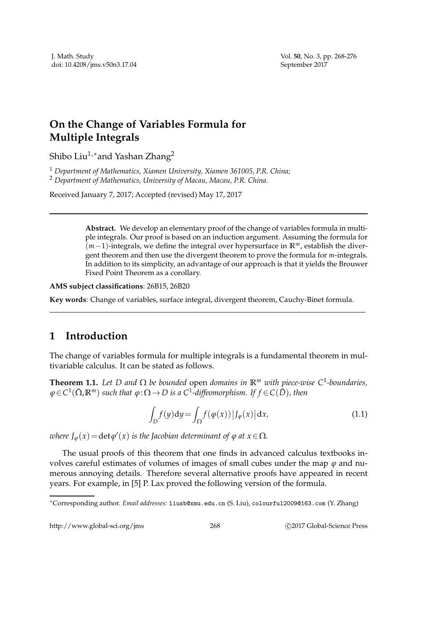## **On the Change of Variables Formula for Multiple Integrals**

Shibo Liu<sup>1,\*</sup>and Yashan Zhang<sup>2</sup>

<sup>1</sup> *Department of Mathematics, Xiamen University, Xiamen 361005, P.R. China;* <sup>2</sup> *Department of Mathematics, University of Macau, Macau, P.R. China.*

Received January 7, 2017; Accepted (revised) May 17, 2017

**Abstract.** We develop an elementary proof of the change of variables formula in multiple integrals. Our proof is based on an induction argument. Assuming the formula for (*m*−1)-integrals, we define the integral over hypersurface in **R***m*, establish the divergent theorem and then use the divergent theorem to prove the formula for *m*-integrals. In addition to its simplicity, an advantage of our approach is that it yields the Brouwer Fixed Point Theorem as a corollary.

**AMS subject classifications**: 26B15, 26B20

**Key words**: Change of variables, surface integral, divergent theorem, Cauchy-Binet formula.

## **1 Introduction**

The change of variables formula for multiple integrals is a fundamental theorem in multivariable calculus. It can be stated as follows.

**Theorem 1.1.** *Let D and* Ω *be bounded* open *domains in* **R***<sup>m</sup> with piece-wise C*<sup>1</sup> *-boundaries,*  $\varphi$  ∈ C<sup>1</sup>(Ω̄,ℝ<sup>m</sup>) such that  $\varphi$  :Ω → D is a C<sup>1</sup>-diffeomorphism. If f ∈ C(D̄), then

$$
\int_{D} f(y) dy = \int_{\Omega} f(\varphi(x)) |J_{\varphi}(x)| dx,
$$
\n(1.1)

*where*  $J_{\varphi}(x) = \det \varphi'(x)$  *is the Jacobian determinant of*  $\varphi$  *at*  $x \in \Omega$ *.* 

The usual proofs of this theorem that one finds in advanced calculus textbooks involves careful estimates of volumes of images of small cubes under the map *ϕ* and numerous annoying details. Therefore several alternative proofs have appeared in recent years. For example, in [5] P. Lax proved the following version of the formula.

http://www.global-sci.org/jms 268 
2017 Global-Science Press

<sup>∗</sup>Corresponding author. *Email addresses:* liusb@xmu.edu.cn (S. Liu), colourful2009@163.com (Y. Zhang)